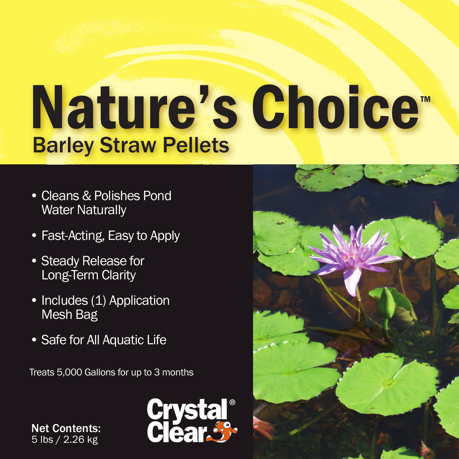## Nature's Choice™ Barley Straw Pellets

- Cleans & Polishes Pond Water Naturally
- Fast-Acting, Easy to Apply
- Steady Release for Long-Term Clarity
- Includes (1) Application Mesh Bag
- Safe for All Aquatic Life

Treats 5,000 Gallons for up to 3 months

Net Contents: 5 lbs / 2.26 kg